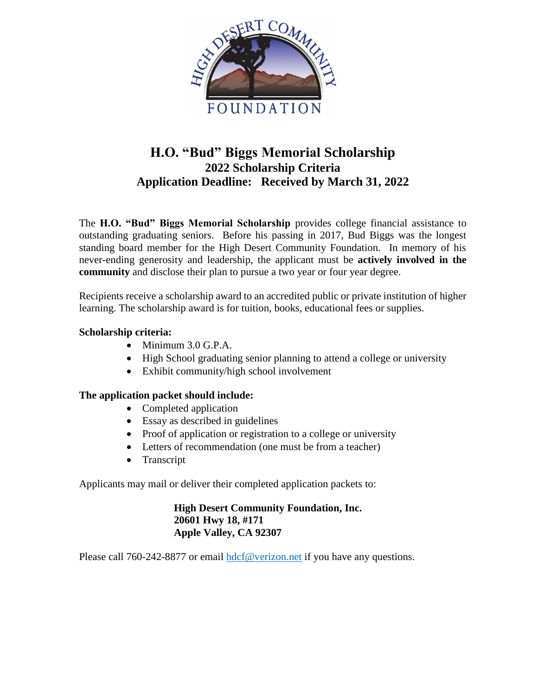

# **H.O. "Bud" Biggs Memorial Scholarship 2022 Scholarship Criteria Application Deadline: Received by March 31, 2022**

The **H.O. "Bud" Biggs Memorial Scholarship** provides college financial assistance to outstanding graduating seniors. Before his passing in 2017, Bud Biggs was the longest standing board member for the High Desert Community Foundation. In memory of his never-ending generosity and leadership, the applicant must be **actively involved in the community** and disclose their plan to pursue a two year or four year degree.

Recipients receive a scholarship award to an accredited public or private institution of higher learning. The scholarship award is for tuition, books, educational fees or supplies.

## **Scholarship criteria:**

- Minimum 3.0 G.P.A.
- High School graduating senior planning to attend a college or university
- Exhibit community/high school involvement

## **The application packet should include:**

- Completed application
- Essay as described in guidelines
- Proof of application or registration to a college or university
- Letters of recommendation (one must be from a teacher)
- Transcript

Applicants may mail or deliver their completed application packets to:

**High Desert Community Foundation, Inc. 20601 Hwy 18, #171 Apple Valley, CA 92307**

Please call 760-242-8877 or email [hdcf@verizon.net](mailto:hdcf@verizon.net) if you have any questions.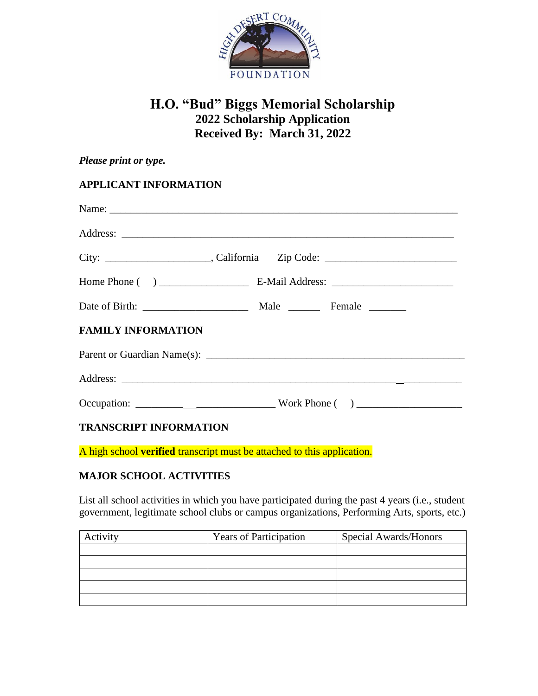

# **H.O. "Bud" Biggs Memorial Scholarship 2022 Scholarship Application Received By: March 31, 2022**

| Please print or type.         |  |
|-------------------------------|--|
| <b>APPLICANT INFORMATION</b>  |  |
|                               |  |
|                               |  |
|                               |  |
|                               |  |
|                               |  |
| <b>FAMILY INFORMATION</b>     |  |
|                               |  |
|                               |  |
|                               |  |
| <b>TRANSCRIPT INFORMATION</b> |  |

A high school **verified** transcript must be attached to this application.

# **MAJOR SCHOOL ACTIVITIES**

List all school activities in which you have participated during the past 4 years (i.e., student government, legitimate school clubs or campus organizations, Performing Arts, sports, etc.)

| Activity | <b>Years of Participation</b> | Special Awards/Honors |
|----------|-------------------------------|-----------------------|
|          |                               |                       |
|          |                               |                       |
|          |                               |                       |
|          |                               |                       |
|          |                               |                       |